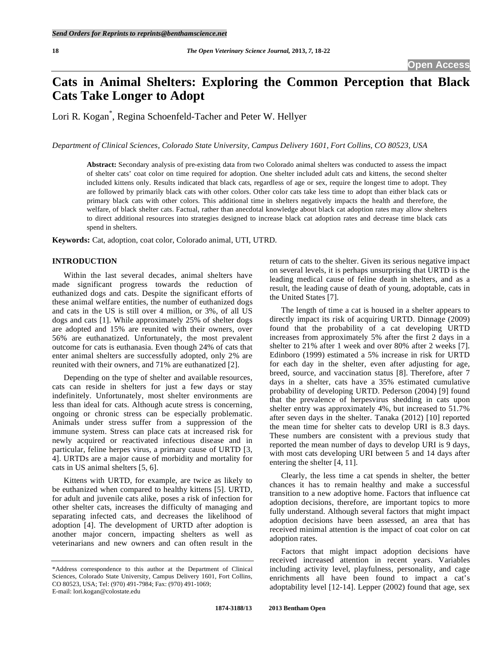# **Cats in Animal Shelters: Exploring the Common Perception that Black Cats Take Longer to Adopt**

Lori R. Kogan\* , Regina Schoenfeld-Tacher and Peter W. Hellyer

*Department of Clinical Sciences, Colorado State University, Campus Delivery 1601, Fort Collins, CO 80523, USA* 

**Abstract:** Secondary analysis of pre-existing data from two Colorado animal shelters was conducted to assess the impact of shelter cats' coat color on time required for adoption. One shelter included adult cats and kittens, the second shelter included kittens only. Results indicated that black cats, regardless of age or sex, require the longest time to adopt. They are followed by primarily black cats with other colors. Other color cats take less time to adopt than either black cats or primary black cats with other colors. This additional time in shelters negatively impacts the health and therefore, the welfare, of black shelter cats. Factual, rather than anecdotal knowledge about black cat adoption rates may allow shelters to direct additional resources into strategies designed to increase black cat adoption rates and decrease time black cats spend in shelters.

**Keywords:** Cat, adoption, coat color, Colorado animal, UTI, UTRD.

#### **INTRODUCTION**

 Within the last several decades, animal shelters have made significant progress towards the reduction of euthanized dogs and cats. Despite the significant efforts of these animal welfare entities, the number of euthanized dogs and cats in the US is still over 4 million, or 3%, of all US dogs and cats [1]. While approximately 25% of shelter dogs are adopted and 15% are reunited with their owners, over 56% are euthanatized. Unfortunately, the most prevalent outcome for cats is euthanasia. Even though 24% of cats that enter animal shelters are successfully adopted, only 2% are reunited with their owners, and 71% are euthanatized [2].

 Depending on the type of shelter and available resources, cats can reside in shelters for just a few days or stay indefinitely. Unfortunately, most shelter environments are less than ideal for cats. Although acute stress is concerning, ongoing or chronic stress can be especially problematic. Animals under stress suffer from a suppression of the immune system. Stress can place cats at increased risk for newly acquired or reactivated infectious disease and in particular, feline herpes virus, a primary cause of URTD [3, 4]. URTDs are a major cause of morbidity and mortality for cats in US animal shelters [5, 6].

 Kittens with URTD, for example, are twice as likely to be euthanized when compared to healthy kittens [5]. URTD, for adult and juvenile cats alike, poses a risk of infection for other shelter cats, increases the difficulty of managing and separating infected cats, and decreases the likelihood of adoption [4]. The development of URTD after adoption is another major concern, impacting shelters as well as veterinarians and new owners and can often result in the

return of cats to the shelter. Given its serious negative impact on several levels, it is perhaps unsurprising that URTD is the leading medical cause of feline death in shelters, and as a result, the leading cause of death of young, adoptable, cats in the United States [7].

 The length of time a cat is housed in a shelter appears to directly impact its risk of acquiring URTD. Dinnage (2009) found that the probability of a cat developing URTD increases from approximately 5% after the first 2 days in a shelter to 21% after 1 week and over 80% after 2 weeks [7]. Edinboro (1999) estimated a 5% increase in risk for URTD for each day in the shelter, even after adjusting for age, breed, source, and vaccination status [8]. Therefore, after 7 days in a shelter, cats have a 35% estimated cumulative probability of developing URTD. Pederson (2004) [9] found that the prevalence of herpesvirus shedding in cats upon shelter entry was approximately 4%, but increased to 51.7% after seven days in the shelter. Tanaka (2012) [10] reported the mean time for shelter cats to develop URI is 8.3 days. These numbers are consistent with a previous study that reported the mean number of days to develop URI is 9 days, with most cats developing URI between 5 and 14 days after entering the shelter [4, 11].

 Clearly, the less time a cat spends in shelter, the better chances it has to remain healthy and make a successful transition to a new adoptive home. Factors that influence cat adoption decisions, therefore, are important topics to more fully understand. Although several factors that might impact adoption decisions have been assessed, an area that has received minimal attention is the impact of coat color on cat adoption rates.

 Factors that might impact adoption decisions have received increased attention in recent years. Variables including activity level, playfulness, personality, and cage enrichments all have been found to impact a cat's adoptability level [12-14]. Lepper (2002) found that age, sex

<sup>\*</sup>Address correspondence to this author at the Department of Clinical Sciences, Colorado State University, Campus Delivery 1601, Fort Collins, CO 80523, USA; Tel: (970) 491-7984; Fax: (970) 491-1069; E-mail: lori.kogan@colostate.edu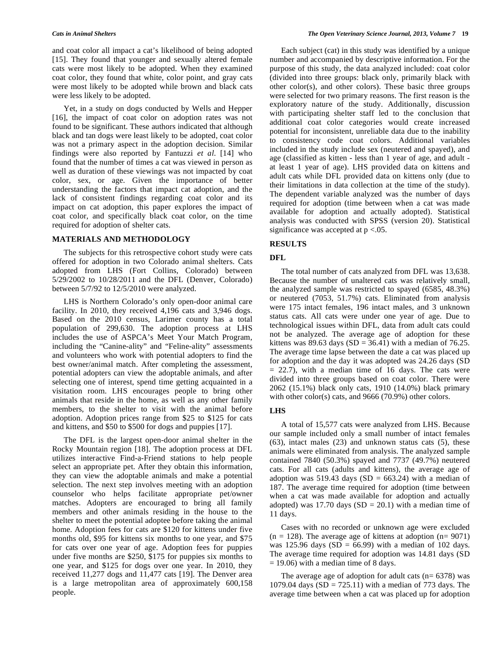and coat color all impact a cat's likelihood of being adopted [15]. They found that younger and sexually altered female cats were most likely to be adopted. When they examined coat color, they found that white, color point, and gray cats were most likely to be adopted while brown and black cats were less likely to be adopted.

 Yet, in a study on dogs conducted by Wells and Hepper [16], the impact of coat color on adoption rates was not found to be significant. These authors indicated that although black and tan dogs were least likely to be adopted, coat color was not a primary aspect in the adoption decision. Similar findings were also reported by Fantuzzi *et al*. [14] who found that the number of times a cat was viewed in person as well as duration of these viewings was not impacted by coat color, sex, or age. Given the importance of better understanding the factors that impact cat adoption, and the lack of consistent findings regarding coat color and its impact on cat adoption, this paper explores the impact of coat color, and specifically black coat color, on the time required for adoption of shelter cats.

#### **MATERIALS AND METHODOLOGY**

 The subjects for this retrospective cohort study were cats offered for adoption in two Colorado animal shelters. Cats adopted from LHS (Fort Collins, Colorado) between 5/29/2002 to 10/28/2011 and the DFL (Denver, Colorado) between 5/7/92 to 12/5/2010 were analyzed.

 LHS is Northern Colorado's only open-door animal care facility. In 2010, they received 4,196 cats and 3,946 dogs. Based on the 2010 census, Larimer county has a total population of 299,630. The adoption process at LHS includes the use of ASPCA's Meet Your Match Program, including the "Canine-ality" and "Feline-ality" assessments and volunteers who work with potential adopters to find the best owner/animal match. After completing the assessment, potential adopters can view the adoptable animals, and after selecting one of interest, spend time getting acquainted in a visitation room. LHS encourages people to bring other animals that reside in the home, as well as any other family members, to the shelter to visit with the animal before adoption. Adoption prices range from \$25 to \$125 for cats and kittens, and \$50 to \$500 for dogs and puppies [17].

 The DFL is the largest open-door animal shelter in the Rocky Mountain region [18]. The adoption process at DFL utilizes interactive Find-a-Friend stations to help people select an appropriate pet. After they obtain this information, they can view the adoptable animals and make a potential selection. The next step involves meeting with an adoption counselor who helps facilitate appropriate pet/owner matches. Adopters are encouraged to bring all family members and other animals residing in the house to the shelter to meet the potential adoptee before taking the animal home. Adoption fees for cats are \$120 for kittens under five months old, \$95 for kittens six months to one year, and \$75 for cats over one year of age. Adoption fees for puppies under five months are \$250, \$175 for puppies six months to one year, and \$125 for dogs over one year. In 2010, they received 11,277 dogs and 11,477 cats [19]. The Denver area is a large metropolitan area of approximately 600,158 people.

 Each subject (cat) in this study was identified by a unique number and accompanied by descriptive information. For the purpose of this study, the data analyzed included: coat color (divided into three groups: black only, primarily black with other color(s), and other colors). These basic three groups were selected for two primary reasons. The first reason is the exploratory nature of the study. Additionally, discussion with participating shelter staff led to the conclusion that additional coat color categories would create increased potential for inconsistent, unreliable data due to the inability to consistency code coat colors. Additional variables included in the study include sex (neutered and spayed), and age (classified as kitten - less than 1 year of age, and adult at least 1 year of age). LHS provided data on kittens and adult cats while DFL provided data on kittens only (due to their limitations in data collection at the time of the study). The dependent variable analyzed was the number of days required for adoption (time between when a cat was made available for adoption and actually adopted). Statistical analysis was conducted with SPSS (version 20). Statistical significance was accepted at  $p < .05$ .

#### **RESULTS**

### **DFL**

 The total number of cats analyzed from DFL was 13,638. Because the number of unaltered cats was relatively small, the analyzed sample was restricted to spayed (6585, 48.3%) or neutered (7053, 51.7%) cats. Eliminated from analysis were 175 intact females, 196 intact males, and 3 unknown status cats. All cats were under one year of age. Due to technological issues within DFL, data from adult cats could not be analyzed. The average age of adoption for these kittens was 89.63 days (SD = 36.41) with a median of 76.25. The average time lapse between the date a cat was placed up for adoption and the day it was adopted was 24.26 days (SD  $= 22.7$ ), with a median time of 16 days. The cats were divided into three groups based on coat color. There were 2062 (15.1%) black only cats, 1910 (14.0%) black primary with other color(s) cats, and 9666 (70.9%) other colors.

#### **LHS**

 A total of 15,577 cats were analyzed from LHS. Because our sample included only a small number of intact females (63), intact males (23) and unknown status cats (5), these animals were eliminated from analysis. The analyzed sample contained 7840 (50.3%) spayed and 7737 (49.7%) neutered cats. For all cats (adults and kittens), the average age of adoption was 519.43 days (SD =  $663.24$ ) with a median of 187. The average time required for adoption (time between when a cat was made available for adoption and actually adopted) was 17.70 days  $(SD = 20.1)$  with a median time of 11 days.

 Cases with no recorded or unknown age were excluded  $(n = 128)$ . The average age of kittens at adoption  $(n = 9071)$ was 125.96 days (SD =  $66.99$ ) with a median of 102 days. The average time required for adoption was 14.81 days (SD  $= 19.06$ ) with a median time of 8 days.

The average age of adoption for adult cats  $(n= 6378)$  was 1079.04 days  $(SD = 725.11)$  with a median of 773 days. The average time between when a cat was placed up for adoption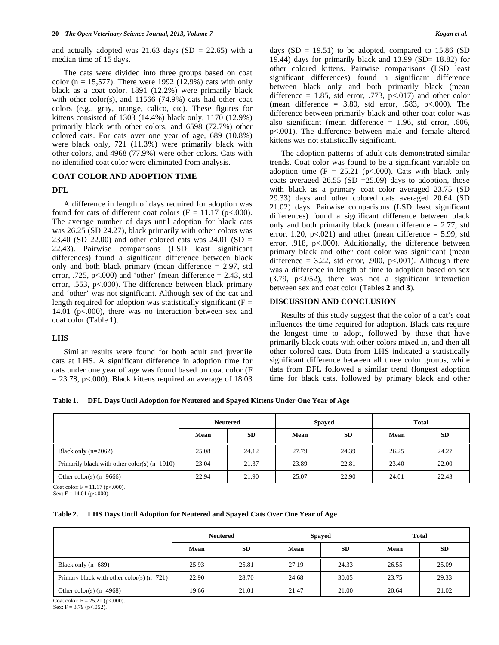and actually adopted was  $21.63$  days (SD = 22.65) with a median time of 15 days.

 The cats were divided into three groups based on coat color ( $n = 15,577$ ). There were 1992 (12.9%) cats with only black as a coat color, 1891 (12.2%) were primarily black with other color(s), and  $11566$  (74.9%) cats had other coat colors (e.g., gray, orange, calico, etc). These figures for kittens consisted of 1303 (14.4%) black only, 1170 (12.9%) primarily black with other colors, and 6598 (72.7%) other colored cats. For cats over one year of age, 689 (10.8%) were black only, 721 (11.3%) were primarily black with other colors, and 4968 (77.9%) were other colors. Cats with no identified coat color were eliminated from analysis.

#### **COAT COLOR AND ADOPTION TIME**

#### **DFL**

 A difference in length of days required for adoption was found for cats of different coat colors ( $F = 11.17$  ( $p < .000$ ). The average number of days until adoption for black cats was 26.25 (SD 24.27), black primarily with other colors was 23.40 (SD 22.00) and other colored cats was  $24.01$  (SD = 22.43). Pairwise comparisons (LSD least significant differences) found a significant difference between black only and both black primary (mean difference  $= 2.97$ , std error,  $.725$ ,  $p<0.000$ ) and 'other' (mean difference = 2.43, std error, .553, p<.000). The difference between black primary and 'other' was not significant. Although sex of the cat and length required for adoption was statistically significant ( $F =$ 14.01 (p<.000), there was no interaction between sex and coat color (Table **1**).

#### **LHS**

 Similar results were found for both adult and juvenile cats at LHS. A significant difference in adoption time for cats under one year of age was found based on coat color (F  $= 23.78$ , p<.000). Black kittens required an average of 18.03 days  $(SD = 19.51)$  to be adopted, compared to 15.86  $(SD)$ 19.44) days for primarily black and  $13.99$  (SD=  $18.82$ ) for other colored kittens. Pairwise comparisons (LSD least significant differences) found a significant difference between black only and both primarily black (mean difference = 1.85, std error, .773,  $p<0.017$  and other color (mean difference =  $3.80$ , std error, .583, p<.000). The difference between primarily black and other coat color was also significant (mean difference  $= 1.96$ , std error, .606, p<.001). The difference between male and female altered kittens was not statistically significant.

 The adoption patterns of adult cats demonstrated similar trends. Coat color was found to be a significant variable on adoption time  $(F = 25.21$  (p<.000). Cats with black only coats averaged 26.55 (SD  $=$ 25.09) days to adoption, those with black as a primary coat color averaged 23.75 (SD 29.33) days and other colored cats averaged 20.64 (SD 21.02) days. Pairwise comparisons (LSD least significant differences) found a significant difference between black only and both primarily black (mean difference  $= 2.77$ , std error, 1.20,  $p<0.021$ ) and other (mean difference = 5.99, std error, .918, p<.000). Additionally, the difference between primary black and other coat color was significant (mean difference =  $3.22$ , std error, .900, p<.001). Although there was a difference in length of time to adoption based on sex (3.79, p<.052), there was not a significant interaction between sex and coat color (Tables **2** and **3**).

#### **DISCUSSION AND CONCLUSION**

 Results of this study suggest that the color of a cat's coat influences the time required for adoption. Black cats require the longest time to adopt, followed by those that have primarily black coats with other colors mixed in, and then all other colored cats. Data from LHS indicated a statistically significant difference between all three color groups, while data from DFL followed a similar trend (longest adoption time for black cats, followed by primary black and other

**Table 1. DFL Days Until Adoption for Neutered and Spayed Kittens Under One Year of Age** 

|                                                | <b>Neutered</b> |           | <b>Spayed</b> |           | <b>Total</b> |           |
|------------------------------------------------|-----------------|-----------|---------------|-----------|--------------|-----------|
|                                                | Mean            | <b>SD</b> | Mean          | <b>SD</b> | Mean         | <b>SD</b> |
| Black only $(n=2062)$                          | 25.08           | 24.12     | 27.79         | 24.39     | 26.25        | 24.27     |
| Primarily black with other color(s) $(n=1910)$ | 23.04           | 21.37     | 23.89         | 22.81     | 23.40        | 22.00     |
| Other color(s) $(n=9666)$                      | 22.94           | 21.90     | 25.07         | 22.90     | 24.01        | 22.43     |

Coat color:  $F = 11.17$  (p<.000). Sex:  $F = 14.01$  (p<.000).

## **Table 2. LHS Days Until Adoption for Neutered and Spayed Cats Over One Year of Age**

|                                             | <b>Neutered</b> |           | <b>Spayed</b>           |           | <b>Total</b> |       |
|---------------------------------------------|-----------------|-----------|-------------------------|-----------|--------------|-------|
|                                             | Mean            | <b>SD</b> | Mean                    | <b>SD</b> | Mean         | SD    |
| Black only $(n=689)$                        | 25.93           | 25.81     | 27.19                   | 24.33     | 26.55        | 25.09 |
| Primary black with other color(s) $(n=721)$ | 22.90           | 28.70     | 24.68                   | 30.05     | 23.75        | 29.33 |
| Other color(s) $(n=4968)$                   | 19.66           | 21.01     | 21.47<br>21.00<br>20.64 |           | 21.02        |       |

Coat color:  $F = 25.21$  (p<.000).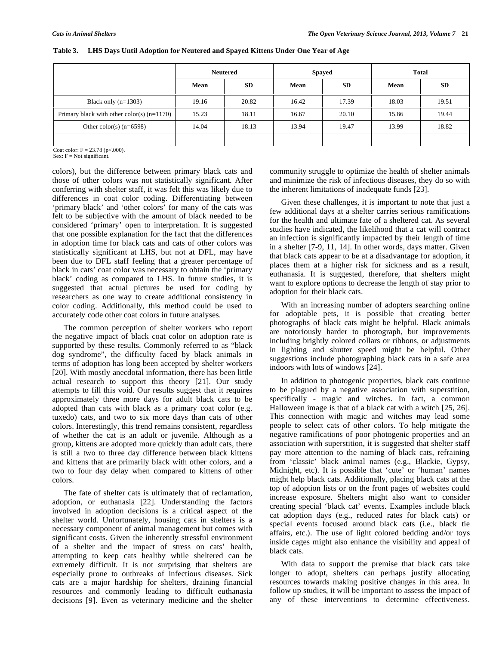|                                              | <b>Neutered</b> |           | Spayed |           | <b>Total</b> |           |
|----------------------------------------------|-----------------|-----------|--------|-----------|--------------|-----------|
|                                              | Mean            | <b>SD</b> | Mean   | <b>SD</b> | Mean         | <b>SD</b> |
| Black only $(n=1303)$                        | 19.16           | 20.82     | 16.42  | 17.39     | 18.03        | 19.51     |
| Primary black with other color(s) $(n=1170)$ | 15.23           | 18.11     | 16.67  | 20.10     | 15.86        | 19.44     |
| Other color(s) $(n=6598)$                    | 14.04           | 18.13     | 13.94  | 19.47     | 13.99        | 18.82     |
|                                              |                 |           |        |           |              |           |

**Table 3. LHS Days Until Adoption for Neutered and Spayed Kittens Under One Year of Age** 

Coat color:  $F = 23.78$  (p<.000).

 $Sex: F = Not significant.$ 

colors), but the difference between primary black cats and those of other colors was not statistically significant. After conferring with shelter staff, it was felt this was likely due to differences in coat color coding. Differentiating between 'primary black' and 'other colors' for many of the cats was felt to be subjective with the amount of black needed to be considered 'primary' open to interpretation. It is suggested that one possible explanation for the fact that the differences in adoption time for black cats and cats of other colors was statistically significant at LHS, but not at DFL, may have been due to DFL staff feeling that a greater percentage of black in cats' coat color was necessary to obtain the 'primary black' coding as compared to LHS. In future studies, it is suggested that actual pictures be used for coding by researchers as one way to create additional consistency in color coding. Additionally, this method could be used to accurately code other coat colors in future analyses.

 The common perception of shelter workers who report the negative impact of black coat color on adoption rate is supported by these results. Commonly referred to as "black dog syndrome", the difficulty faced by black animals in terms of adoption has long been accepted by shelter workers [20]. With mostly anecdotal information, there has been little actual research to support this theory [21]. Our study attempts to fill this void. Our results suggest that it requires approximately three more days for adult black cats to be adopted than cats with black as a primary coat color (e.g. tuxedo) cats, and two to six more days than cats of other colors. Interestingly, this trend remains consistent, regardless of whether the cat is an adult or juvenile. Although as a group, kittens are adopted more quickly than adult cats, there is still a two to three day difference between black kittens and kittens that are primarily black with other colors, and a two to four day delay when compared to kittens of other colors.

 The fate of shelter cats is ultimately that of reclamation, adoption, or euthanasia [22]. Understanding the factors involved in adoption decisions is a critical aspect of the shelter world. Unfortunately, housing cats in shelters is a necessary component of animal management but comes with significant costs. Given the inherently stressful environment of a shelter and the impact of stress on cats' health, attempting to keep cats healthy while sheltered can be extremely difficult. It is not surprising that shelters are especially prone to outbreaks of infectious diseases. Sick cats are a major hardship for shelters, draining financial resources and commonly leading to difficult euthanasia decisions [9]. Even as veterinary medicine and the shelter

community struggle to optimize the health of shelter animals and minimize the risk of infectious diseases, they do so with the inherent limitations of inadequate funds [23].

 Given these challenges, it is important to note that just a few additional days at a shelter carries serious ramifications for the health and ultimate fate of a sheltered cat. As several studies have indicated, the likelihood that a cat will contract an infection is significantly impacted by their length of time in a shelter [7-9, 11, 14]. In other words, days matter. Given that black cats appear to be at a disadvantage for adoption, it places them at a higher risk for sickness and as a result, euthanasia. It is suggested, therefore, that shelters might want to explore options to decrease the length of stay prior to adoption for their black cats.

 With an increasing number of adopters searching online for adoptable pets, it is possible that creating better photographs of black cats might be helpful. Black animals are notoriously harder to photograph, but improvements including brightly colored collars or ribbons, or adjustments in lighting and shutter speed might be helpful. Other suggestions include photographing black cats in a safe area indoors with lots of windows [24].

 In addition to photogenic properties, black cats continue to be plagued by a negative association with superstition, specifically - magic and witches. In fact, a common Halloween image is that of a black cat with a witch [25, 26]. This connection with magic and witches may lead some people to select cats of other colors. To help mitigate the negative ramifications of poor photogenic properties and an association with superstition, it is suggested that shelter staff pay more attention to the naming of black cats, refraining from 'classic' black animal names (e.g., Blackie, Gypsy, Midnight, etc). It is possible that 'cute' or 'human' names might help black cats. Additionally, placing black cats at the top of adoption lists or on the front pages of websites could increase exposure. Shelters might also want to consider creating special 'black cat' events. Examples include black cat adoption days (e.g., reduced rates for black cats) or special events focused around black cats (i.e., black tie affairs, etc.). The use of light colored bedding and/or toys inside cages might also enhance the visibility and appeal of black cats.

 With data to support the premise that black cats take longer to adopt, shelters can perhaps justify allocating resources towards making positive changes in this area. In follow up studies, it will be important to assess the impact of any of these interventions to determine effectiveness.